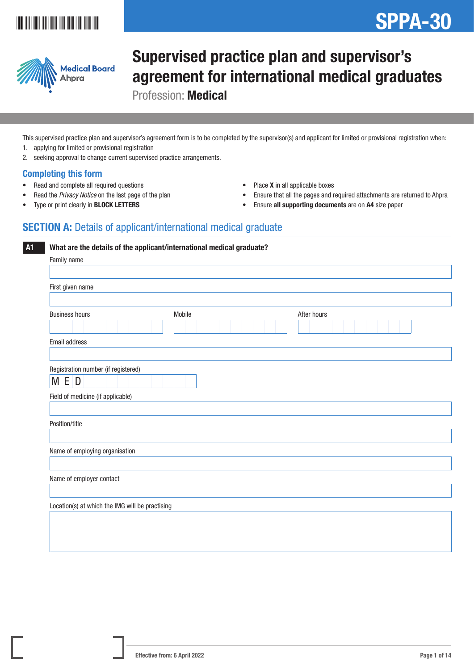## \*SPPA-3011 | 1911 | 1911 | 1911 | 1911 | 1911 | 1911

# SPPA-30



## Supervised practice plan and supervisor's agreement for international medical graduates Profession: Medical

This supervised practice plan and supervisor's agreement form is to be completed by the supervisor(s) and applicant for limited or provisional registration when: 1. applying for limited or provisional registration

2. seeking approval to change current supervised practice arrangements.

### Completing this form

- Read and complete all required questions
- Read the *Privacy Notice* on the last page of the plan
- Type or print clearly in BLOCK LETTERS
- Place **X** in all applicable boxes
- Ensure that all the pages and required attachments are returned to Ahpra
- Ensure all supporting documents are on A4 size paper

## **SECTION A:** Details of applicant/international medical graduate

**A1** What are the details of the applicant/international medical graduate?

| Family name                                     |        |             |
|-------------------------------------------------|--------|-------------|
|                                                 |        |             |
| First given name                                |        |             |
|                                                 |        |             |
| <b>Business hours</b>                           | Mobile | After hours |
| Email address                                   |        |             |
|                                                 |        |             |
| Registration number (if registered)             |        |             |
| M E D                                           |        |             |
| Field of medicine (if applicable)               |        |             |
|                                                 |        |             |
| Position/title                                  |        |             |
|                                                 |        |             |
| Name of employing organisation                  |        |             |
|                                                 |        |             |
| Name of employer contact                        |        |             |
|                                                 |        |             |
| Location(s) at which the IMG will be practising |        |             |
|                                                 |        |             |
|                                                 |        |             |
|                                                 |        |             |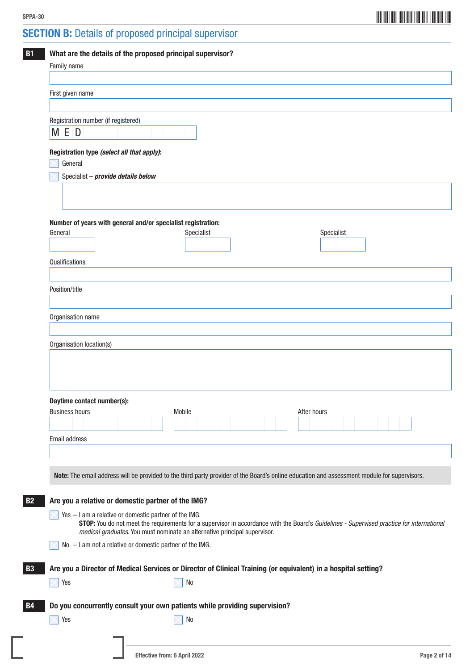**SECTION B:** Details of proposed principal supervisor

| First given name<br>Registration number (if registered)<br>M E D                      |                                                                                                                                             |
|---------------------------------------------------------------------------------------|---------------------------------------------------------------------------------------------------------------------------------------------|
|                                                                                       |                                                                                                                                             |
|                                                                                       |                                                                                                                                             |
|                                                                                       |                                                                                                                                             |
|                                                                                       |                                                                                                                                             |
| Registration type (select all that apply):<br>General                                 |                                                                                                                                             |
| Specialist - provide details below                                                    |                                                                                                                                             |
|                                                                                       |                                                                                                                                             |
|                                                                                       |                                                                                                                                             |
|                                                                                       |                                                                                                                                             |
| Number of years with general and/or specialist registration:<br>Specialist<br>General | Specialist                                                                                                                                  |
|                                                                                       |                                                                                                                                             |
|                                                                                       |                                                                                                                                             |
| Qualifications                                                                        |                                                                                                                                             |
|                                                                                       |                                                                                                                                             |
| Position/title                                                                        |                                                                                                                                             |
|                                                                                       |                                                                                                                                             |
| Organisation name                                                                     |                                                                                                                                             |
| Daytime contact number(s):<br>Mobile<br><b>Business hours</b>                         | After hours                                                                                                                                 |
|                                                                                       |                                                                                                                                             |
| Email address                                                                         |                                                                                                                                             |
|                                                                                       |                                                                                                                                             |
|                                                                                       |                                                                                                                                             |
|                                                                                       | Note: The email address will be provided to the third party provider of the Board's online education and assessment module for supervisors. |
| Are you a relative or domestic partner of the IMG?                                    |                                                                                                                                             |
| Yes - I am a relative or domestic partner of the IMG.                                 |                                                                                                                                             |
| medical graduates. You must nominate an alternative principal supervisor.             | STOP: You do not meet the requirements for a supervisor in accordance with the Board's Guidelines - Supervised practice for international   |
| $No - I$ am not a relative or domestic partner of the IMG.                            |                                                                                                                                             |
|                                                                                       |                                                                                                                                             |
|                                                                                       | Are you a Director of Medical Services or Director of Clinical Training (or equivalent) in a hospital setting?                              |
| Yes<br>No                                                                             |                                                                                                                                             |
|                                                                                       |                                                                                                                                             |
| Do you concurrently consult your own patients while providing supervision?            |                                                                                                                                             |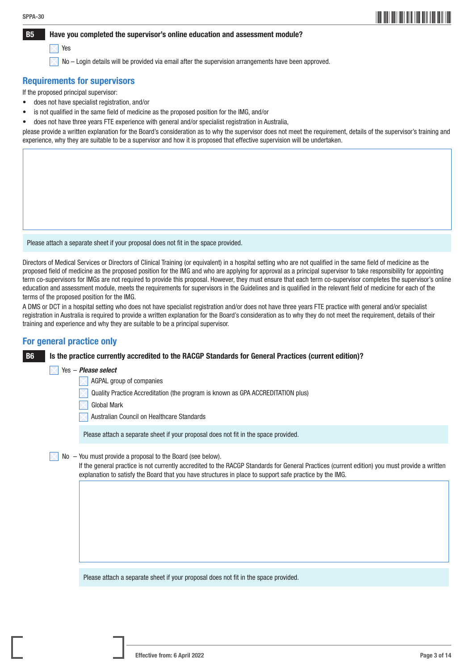## \*SPPA-303\* SPPA-30

#### B5 Have you completed the supervisor's online education and assessment module?

#### Yes

No – Login details will be provided via email after the supervision arrangements have been approved.

#### Requirements for supervisors

If the proposed principal supervisor:

- does not have specialist registration, and/or
- is not qualified in the same field of medicine as the proposed position for the IMG, and/or
- does not have three years FTE experience with general and/or specialist registration in Australia,

please provide a written explanation for the Board's consideration as to why the supervisor does not meet the requirement, details of the supervisor's training and experience, why they are suitable to be a supervisor and how it is proposed that effective supervision will be undertaken.

Please attach a separate sheet if your proposal does not fit in the space provided.

Directors of Medical Services or Directors of Clinical Training (or equivalent) in a hospital setting who are not qualified in the same field of medicine as the proposed field of medicine as the proposed position for the IMG and who are applying for approval as a principal supervisor to take responsibility for appointing term co-supervisors for IMGs are not required to provide this proposal. However, they must ensure that each term co-supervisor completes the supervisor's online education and assessment module, meets the requirements for supervisors in the Guidelines and is qualified in the relevant field of medicine for each of the terms of the proposed position for the IMG.

A DMS or DCT in a hospital setting who does not have specialist registration and/or does not have three years FTE practice with general and/or specialist registration in Australia is required to provide a written explanation for the Board's consideration as to why they do not meet the requirement, details of their training and experience and why they are suitable to be a principal supervisor.

#### For general practice only

B6 Is the practice currently accredited to the RACGP Standards for General Practices (current edition)?

#### Yes – *Please select*

- AGPAL group of companies
- Quality Practice Accreditation (the program is known as GPA ACCREDITATION plus)
- Global Mark
- Australian Council on Healthcare Standards

Please attach a separate sheet if your proposal does not fit in the space provided.

No – You must provide a proposal to the Board (see below).

 If the general practice is not currently accredited to the RACGP Standards for General Practices (current edition) you must provide a written explanation to satisfy the Board that you have structures in place to support safe practice by the IMG.

Please attach a separate sheet if your proposal does not fit in the space provided.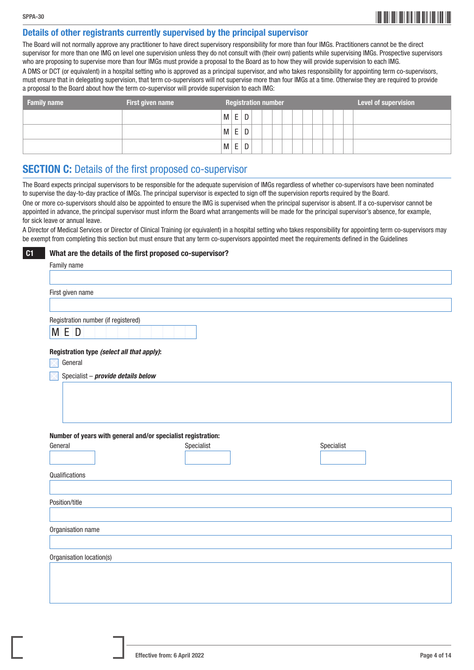## \*SPPA-304\* SPPA-30

#### Details of other registrants currently supervised by the principal supervisor

The Board will not normally approve any practitioner to have direct supervisory responsibility for more than four IMGs. Practitioners cannot be the direct supervisor for more than one IMG on level one supervision unless they do not consult with (their own) patients while supervising IMGs. Prospective supervisors who are proposing to supervise more than four IMGs must provide a proposal to the Board as to how they will provide supervision to each IMG. A DMS or DCT (or equivalent) in a hospital setting who is approved as a principal supervisor, and who takes responsibility for appointing term co-supervisors,

must ensure that in delegating supervision, that term co-supervisors will not supervise more than four IMGs at a time. Otherwise they are required to provide a proposal to the Board about how the term co-supervisor will provide supervision to each IMG:

| <b>Family name</b> | First given name | <b>Level of supervision</b><br><b>Registration number</b> |  |
|--------------------|------------------|-----------------------------------------------------------|--|
|                    |                  | $\mathsf E$<br>D<br>$M \mid$                              |  |
|                    |                  | E<br>D<br>M                                               |  |
|                    |                  | E<br>D<br>M                                               |  |

### **SECTION C:** Details of the first proposed co-supervisor

The Board expects principal supervisors to be responsible for the adequate supervision of IMGs regardless of whether co-supervisors have been nominated to supervise the day-to-day practice of IMGs. The principal supervisor is expected to sign off the supervision reports required by the Board. One or more co-supervisors should also be appointed to ensure the IMG is supervised when the principal supervisor is absent. If a co-supervisor cannot be appointed in advance, the principal supervisor must inform the Board what arrangements will be made for the principal supervisor's absence, for example, for sick leave or annual leave.

A Director of Medical Services or Director of Clinical Training (or equivalent) in a hospital setting who takes responsibility for appointing term co-supervisors may be exempt from completing this section but must ensure that any term co-supervisors appointed meet the requirements defined in the Guidelines

**C1** What are the details of the first proposed co-supervisor?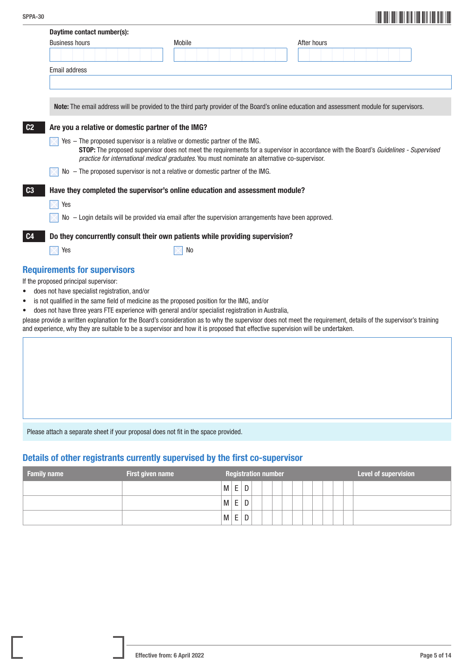|                | Daytime contact number(s):                         |  |                                                                             |                                                                                                      |                                                                                                                                             |
|----------------|----------------------------------------------------|--|-----------------------------------------------------------------------------|------------------------------------------------------------------------------------------------------|---------------------------------------------------------------------------------------------------------------------------------------------|
|                | <b>Business hours</b>                              |  | Mobile                                                                      |                                                                                                      | After hours                                                                                                                                 |
|                |                                                    |  |                                                                             |                                                                                                      |                                                                                                                                             |
|                | Email address                                      |  |                                                                             |                                                                                                      |                                                                                                                                             |
|                |                                                    |  |                                                                             |                                                                                                      |                                                                                                                                             |
|                |                                                    |  |                                                                             |                                                                                                      |                                                                                                                                             |
|                |                                                    |  |                                                                             |                                                                                                      | Note: The email address will be provided to the third party provider of the Board's online education and assessment module for supervisors. |
| C <sub>2</sub> | Are you a relative or domestic partner of the IMG? |  |                                                                             |                                                                                                      |                                                                                                                                             |
|                |                                                    |  | Yes - The proposed supervisor is a relative or domestic partner of the IMG. | practice for international medical graduates. You must nominate an alternative co-supervisor.        | <b>STOP:</b> The proposed supervisor does not meet the requirements for a supervisor in accordance with the Board's Guidelines - Supervised |
|                |                                                    |  |                                                                             | No - The proposed supervisor is not a relative or domestic partner of the IMG.                       |                                                                                                                                             |
| $\boxed{c_3}$  |                                                    |  |                                                                             | Have they completed the supervisor's online education and assessment module?                         |                                                                                                                                             |
|                | Yes                                                |  |                                                                             |                                                                                                      |                                                                                                                                             |
|                |                                                    |  |                                                                             | No - Login details will be provided via email after the supervision arrangements have been approved. |                                                                                                                                             |
| C <sub>4</sub> |                                                    |  |                                                                             | Do they concurrently consult their own patients while providing supervision?                         |                                                                                                                                             |
|                | Yes                                                |  | No                                                                          |                                                                                                      |                                                                                                                                             |
|                | <b>Requirements for supervisors</b>                |  |                                                                             |                                                                                                      |                                                                                                                                             |
|                | If the proposed principal supervisor:              |  |                                                                             |                                                                                                      |                                                                                                                                             |
| $\bullet$      | does not have specialist registration, and/or      |  |                                                                             |                                                                                                      |                                                                                                                                             |
| ٠              |                                                    |  |                                                                             | is not qualified in the same field of medicine as the proposed position for the IMG, and/or          |                                                                                                                                             |
| ٠              |                                                    |  |                                                                             | does not have three years FTE experience with general and/or specialist registration in Australia,   |                                                                                                                                             |

please provide a written explanation for the Board's consideration as to why the supervisor does not meet the requirement, details of the supervisor's training and experience, why they are suitable to be a supervisor and how it is proposed that effective supervision will be undertaken.

Please attach a separate sheet if your proposal does not fit in the space provided.

### Details of other registrants currently supervised by the first co-supervisor

| <b>Family name</b> | <b>First given name</b> |   |         | <b>Registration number</b> |  |  |  |  |  | <b>Level of supervision</b> |
|--------------------|-------------------------|---|---------|----------------------------|--|--|--|--|--|-----------------------------|
|                    |                         | м | ⊢       | D                          |  |  |  |  |  |                             |
|                    |                         | M | -<br>F. | D                          |  |  |  |  |  |                             |
|                    |                         | М | -<br>Ŀ  | D                          |  |  |  |  |  |                             |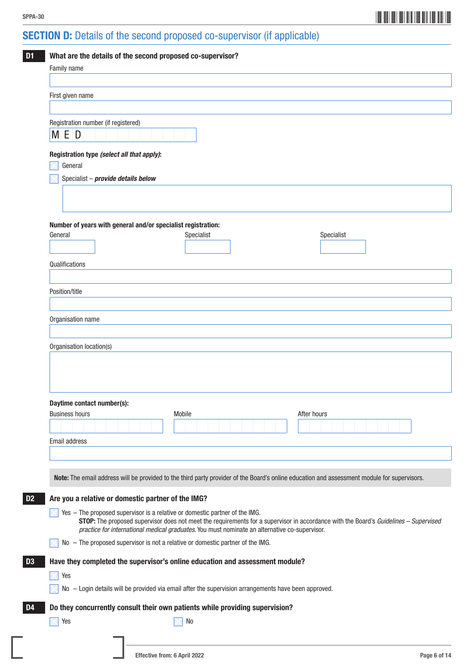## $\sum_{i=1}^{n}$

## SECTION D: Details of the second proposed co-supervisor (if applicable)

| Family name                                           |                                                                                                      |                                                                                                                                             |
|-------------------------------------------------------|------------------------------------------------------------------------------------------------------|---------------------------------------------------------------------------------------------------------------------------------------------|
| First given name                                      |                                                                                                      |                                                                                                                                             |
|                                                       |                                                                                                      |                                                                                                                                             |
| Registration number (if registered)                   |                                                                                                      |                                                                                                                                             |
| M E D                                                 |                                                                                                      |                                                                                                                                             |
| Registration type (select all that apply):<br>General |                                                                                                      |                                                                                                                                             |
| Specialist - provide details below                    |                                                                                                      |                                                                                                                                             |
|                                                       |                                                                                                      |                                                                                                                                             |
|                                                       |                                                                                                      |                                                                                                                                             |
|                                                       | Number of years with general and/or specialist registration:                                         |                                                                                                                                             |
| General                                               | Specialist                                                                                           | Specialist                                                                                                                                  |
|                                                       |                                                                                                      |                                                                                                                                             |
| Qualifications                                        |                                                                                                      |                                                                                                                                             |
| Position/title                                        |                                                                                                      |                                                                                                                                             |
|                                                       |                                                                                                      |                                                                                                                                             |
| Organisation name                                     |                                                                                                      |                                                                                                                                             |
|                                                       |                                                                                                      |                                                                                                                                             |
| Organisation location(s)                              |                                                                                                      |                                                                                                                                             |
|                                                       |                                                                                                      |                                                                                                                                             |
|                                                       |                                                                                                      |                                                                                                                                             |
| Daytime contact number(s):                            |                                                                                                      |                                                                                                                                             |
| <b>Business hours</b>                                 | Mobile                                                                                               | After hours                                                                                                                                 |
|                                                       |                                                                                                      |                                                                                                                                             |
| Email address                                         |                                                                                                      |                                                                                                                                             |
|                                                       |                                                                                                      |                                                                                                                                             |
|                                                       |                                                                                                      | Note: The email address will be provided to the third party provider of the Board's online education and assessment module for supervisors. |
|                                                       | Are you a relative or domestic partner of the IMG?                                                   |                                                                                                                                             |
|                                                       | Yes - The proposed supervisor is a relative or domestic partner of the IMG.                          |                                                                                                                                             |
|                                                       | practice for international medical graduates. You must nominate an alternative co-supervisor.        | STOP: The proposed supervisor does not meet the requirements for a supervisor in accordance with the Board's Guidelines - Supervised        |
|                                                       | No - The proposed supervisor is not a relative or domestic partner of the IMG.                       |                                                                                                                                             |
|                                                       | Have they completed the supervisor's online education and assessment module?                         |                                                                                                                                             |
|                                                       |                                                                                                      |                                                                                                                                             |
| Yes                                                   |                                                                                                      |                                                                                                                                             |
|                                                       | No - Login details will be provided via email after the supervision arrangements have been approved. |                                                                                                                                             |
|                                                       | Do they concurrently consult their own patients while providing supervision?                         |                                                                                                                                             |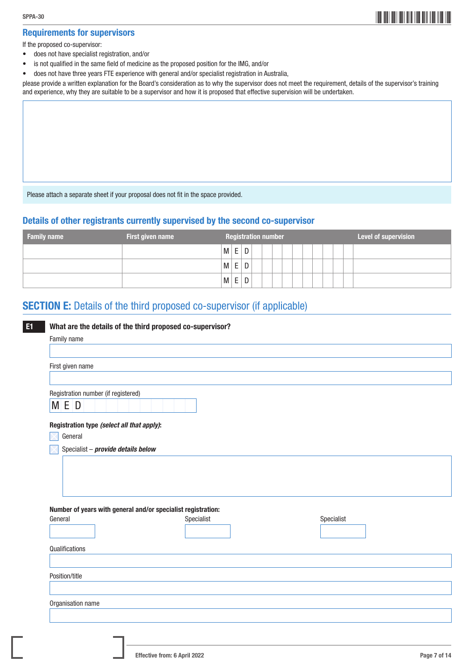### Requirements for supervisors

If the proposed co-supervisor:

- does not have specialist registration, and/or
- is not qualified in the same field of medicine as the proposed position for the IMG, and/or
- does not have three years FTE experience with general and/or specialist registration in Australia,

please provide a written explanation for the Board's consideration as to why the supervisor does not meet the requirement, details of the supervisor's training and experience, why they are suitable to be a supervisor and how it is proposed that effective supervision will be undertaken.

Please attach a separate sheet if your proposal does not fit in the space provided.

#### Details of other registrants currently supervised by the second co-supervisor

| <b>Family name</b> | First given name |   |   |   |  | <b>Registration number</b> |  |  |  |  | Level of supervision |
|--------------------|------------------|---|---|---|--|----------------------------|--|--|--|--|----------------------|
|                    |                  | M | E | D |  |                            |  |  |  |  |                      |
|                    |                  | M | E | D |  |                            |  |  |  |  |                      |
|                    |                  | M | E | D |  |                            |  |  |  |  |                      |

## SECTION E: Details of the third proposed co-supervisor (if applicable)

| First given name                           |                                                              |            |
|--------------------------------------------|--------------------------------------------------------------|------------|
| Registration number (if registered)        |                                                              |            |
| M E D                                      |                                                              |            |
| Registration type (select all that apply): |                                                              |            |
| General                                    |                                                              |            |
| Specialist - provide details below         |                                                              |            |
|                                            |                                                              |            |
|                                            |                                                              |            |
|                                            |                                                              |            |
|                                            |                                                              |            |
|                                            |                                                              |            |
|                                            | Number of years with general and/or specialist registration: |            |
|                                            | Specialist                                                   | Specialist |
| General                                    |                                                              |            |
|                                            |                                                              |            |
| Qualifications                             |                                                              |            |
|                                            |                                                              |            |
| Position/title                             |                                                              |            |
|                                            |                                                              |            |
| Organisation name                          |                                                              |            |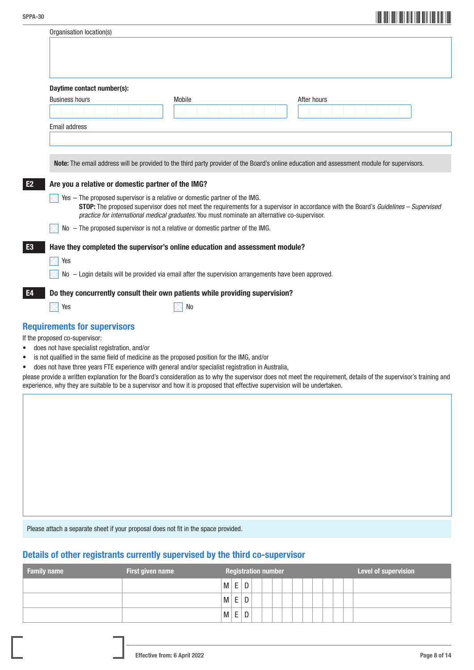|                       | Organisation location(s)   |                                                    |                                                                                                        |                                                                                                                                             |  |
|-----------------------|----------------------------|----------------------------------------------------|--------------------------------------------------------------------------------------------------------|---------------------------------------------------------------------------------------------------------------------------------------------|--|
|                       |                            |                                                    |                                                                                                        |                                                                                                                                             |  |
|                       |                            |                                                    |                                                                                                        |                                                                                                                                             |  |
|                       |                            |                                                    |                                                                                                        |                                                                                                                                             |  |
|                       |                            |                                                    |                                                                                                        |                                                                                                                                             |  |
| <b>Business hours</b> | Daytime contact number(s): |                                                    | Mobile                                                                                                 | After hours                                                                                                                                 |  |
|                       |                            |                                                    |                                                                                                        |                                                                                                                                             |  |
|                       |                            |                                                    |                                                                                                        |                                                                                                                                             |  |
| Email address         |                            |                                                    |                                                                                                        |                                                                                                                                             |  |
|                       |                            |                                                    |                                                                                                        |                                                                                                                                             |  |
|                       |                            |                                                    |                                                                                                        |                                                                                                                                             |  |
|                       |                            |                                                    |                                                                                                        |                                                                                                                                             |  |
|                       |                            |                                                    |                                                                                                        |                                                                                                                                             |  |
|                       |                            |                                                    |                                                                                                        |                                                                                                                                             |  |
|                       |                            |                                                    |                                                                                                        |                                                                                                                                             |  |
|                       |                            |                                                    |                                                                                                        | Note: The email address will be provided to the third party provider of the Board's online education and assessment module for supervisors. |  |
|                       |                            |                                                    |                                                                                                        |                                                                                                                                             |  |
|                       |                            | Are you a relative or domestic partner of the IMG? |                                                                                                        |                                                                                                                                             |  |
|                       |                            |                                                    |                                                                                                        |                                                                                                                                             |  |
|                       |                            |                                                    | Yes - The proposed supervisor is a relative or domestic partner of the IMG.                            |                                                                                                                                             |  |
|                       |                            |                                                    |                                                                                                        | STOP: The proposed supervisor does not meet the requirements for a supervisor in accordance with the Board's Guidelines - Supervised        |  |
|                       |                            |                                                    | practice for international medical graduates. You must nominate an alternative co-supervisor.          |                                                                                                                                             |  |
|                       |                            |                                                    | No - The proposed supervisor is not a relative or domestic partner of the IMG.                         |                                                                                                                                             |  |
|                       |                            |                                                    |                                                                                                        |                                                                                                                                             |  |
|                       |                            |                                                    | Have they completed the supervisor's online education and assessment module?                           |                                                                                                                                             |  |
| Yes                   |                            |                                                    |                                                                                                        |                                                                                                                                             |  |
|                       |                            |                                                    | $No -$ Login details will be provided via email after the supervision arrangements have been approved. |                                                                                                                                             |  |

**E4** Do they concurrently consult their own patients while providing supervision?

 $Yes$  No

### Requirements for supervisors

If the proposed co-supervisor:

- does not have specialist registration, and/or
- is not qualified in the same field of medicine as the proposed position for the IMG, and/or
- does not have three years FTE experience with general and/or specialist registration in Australia,

please provide a written explanation for the Board's consideration as to why the supervisor does not meet the requirement, details of the supervisor's training and experience, why they are suitable to be a supervisor and how it is proposed that effective supervision will be undertaken.

Please attach a separate sheet if your proposal does not fit in the space provided.

### Details of other registrants currently supervised by the third co-supervisor

| <b>Family name</b> | First given name | Level of supervision<br><b>Registration number</b> |
|--------------------|------------------|----------------------------------------------------|
|                    |                  | E<br>D<br>M                                        |
|                    |                  | E<br>D<br>M                                        |
|                    |                  | E<br>D<br>M                                        |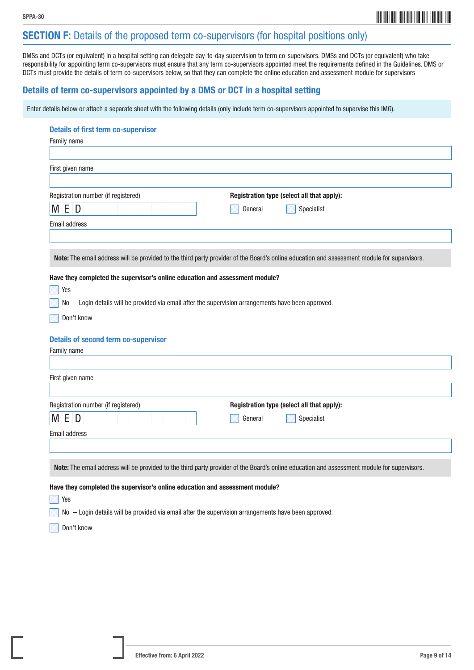

## SECTION F: Details of the proposed term co-supervisors (for hospital positions only)

DMSs and DCTs (or equivalent) in a hospital setting can delegate day-to-day supervision to term co-supervisors. DMSs and DCTs (or equivalent) who take responsibility for appointing term co-supervisors must ensure that any term co-supervisors appointed meet the requirements defined in the Guidelines. DMS or DCTs must provide the details of term co-supervisors below, so that they can complete the online education and assessment module for supervisors

### Details of term co-supervisors appointed by a DMS or DCT in a hospital setting

Enter details below or attach a separate sheet with the following details (only include term co-supervisors appointed to supervise this IMG).

#### Details of first term co-supervisor

| Family name                                                                                          |                                                                                                                                             |
|------------------------------------------------------------------------------------------------------|---------------------------------------------------------------------------------------------------------------------------------------------|
|                                                                                                      |                                                                                                                                             |
|                                                                                                      |                                                                                                                                             |
| First given name                                                                                     |                                                                                                                                             |
|                                                                                                      |                                                                                                                                             |
| Registration number (if registered)                                                                  | Registration type (select all that apply):                                                                                                  |
| <b>MED</b>                                                                                           | Specialist<br>General                                                                                                                       |
|                                                                                                      |                                                                                                                                             |
| <b>Email address</b>                                                                                 |                                                                                                                                             |
|                                                                                                      |                                                                                                                                             |
|                                                                                                      |                                                                                                                                             |
|                                                                                                      | Note: The email address will be provided to the third party provider of the Board's online education and assessment module for supervisors. |
| Have they completed the supervisor's online education and assessment module?                         |                                                                                                                                             |
| Yes                                                                                                  |                                                                                                                                             |
| No - Login details will be provided via email after the supervision arrangements have been approved. |                                                                                                                                             |
|                                                                                                      |                                                                                                                                             |
| Don't know                                                                                           |                                                                                                                                             |
|                                                                                                      |                                                                                                                                             |
| <b>Details of second term co-supervisor</b>                                                          |                                                                                                                                             |
| Family name                                                                                          |                                                                                                                                             |
|                                                                                                      |                                                                                                                                             |
| First given name                                                                                     |                                                                                                                                             |
|                                                                                                      |                                                                                                                                             |
| Registration number (if registered)                                                                  | Registration type (select all that apply):                                                                                                  |
| M E D                                                                                                | Specialist<br>General                                                                                                                       |
|                                                                                                      |                                                                                                                                             |
| Email address                                                                                        |                                                                                                                                             |
|                                                                                                      |                                                                                                                                             |
|                                                                                                      |                                                                                                                                             |
|                                                                                                      | Note: The email address will be provided to the third party provider of the Board's online education and assessment module for supervisors. |
| Have they completed the supervisor's online education and assessment module?                         |                                                                                                                                             |
| Yes                                                                                                  |                                                                                                                                             |
|                                                                                                      |                                                                                                                                             |

 $\triangleright$  No – Login details will be provided via email after the supervision arrangements have been approved.

Don't know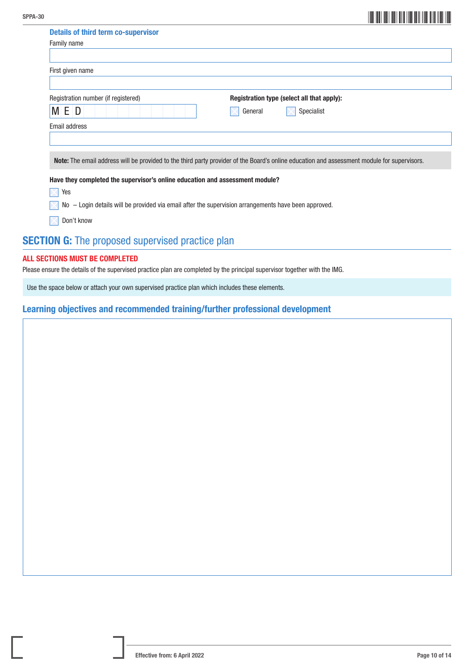| SPPA-30 |                                                                                                      |                                                                                                                                             |  |
|---------|------------------------------------------------------------------------------------------------------|---------------------------------------------------------------------------------------------------------------------------------------------|--|
|         | <b>Details of third term co-supervisor</b>                                                           |                                                                                                                                             |  |
|         | Family name                                                                                          |                                                                                                                                             |  |
|         |                                                                                                      |                                                                                                                                             |  |
|         | First given name                                                                                     |                                                                                                                                             |  |
|         |                                                                                                      |                                                                                                                                             |  |
|         | Registration number (if registered)                                                                  | Registration type (select all that apply):                                                                                                  |  |
|         | MED                                                                                                  | Specialist<br>General                                                                                                                       |  |
|         | Email address                                                                                        |                                                                                                                                             |  |
|         |                                                                                                      |                                                                                                                                             |  |
|         |                                                                                                      |                                                                                                                                             |  |
|         |                                                                                                      | Note: The email address will be provided to the third party provider of the Board's online education and assessment module for supervisors. |  |
|         | Have they completed the supervisor's online education and assessment module?                         |                                                                                                                                             |  |
|         | Yes                                                                                                  |                                                                                                                                             |  |
|         | No - Login details will be provided via email after the supervision arrangements have been approved. |                                                                                                                                             |  |
|         | Don't know                                                                                           |                                                                                                                                             |  |
|         | <b>SECTION G:</b> The proposed supervised practice plan                                              |                                                                                                                                             |  |

#### ALL SECTIONS MUST BE COMPLETED

Please ensure the details of the supervised practice plan are completed by the principal supervisor together with the IMG.

Use the space below or attach your own supervised practice plan which includes these elements.

### Learning objectives and recommended training/further professional development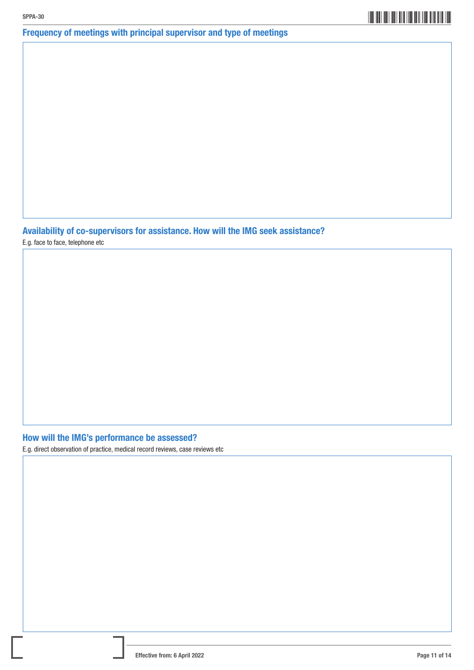## \*SPPA-3011\* SPPA-30

## Frequency of meetings with principal supervisor and type of meetings

Availability of co-supervisors for assistance. How will the IMG seek assistance?

E.g. face to face, telephone etc

## How will the IMG's performance be assessed?

E.g. direct observation of practice, medical record reviews, case reviews etc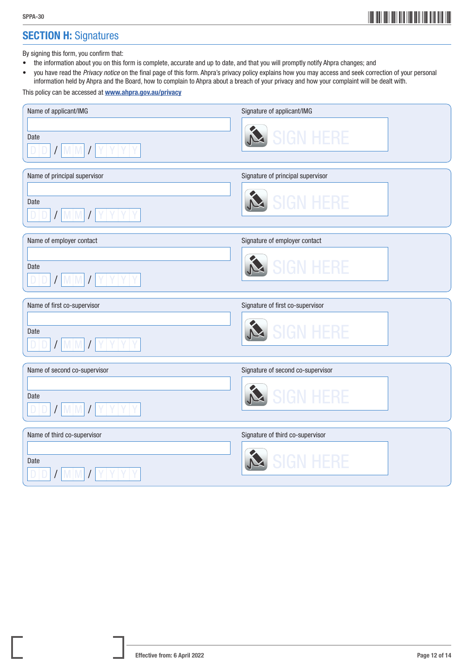## **SECTION H: Signatures**

By signing this form, you confirm that:

- the information about you on this form is complete, accurate and up to date, and that you will promptly notify Ahpra changes; and
- you have read the *Privacy notice* on the final page of this form. Ahpra's privacy policy explains how you may access and seek correction of your personal information held by Ahpra and the Board, how to complain to Ahpra about a breach of your privacy and how your complaint will be dealt with.

This policy can be accessed at **<www.ahpra.gov.au/privacy>** 

| Name of applicant/IMG<br>Date<br>$I$ M M $I$                           | Signature of applicant/IMG<br><b>SIGN HERE</b>        |
|------------------------------------------------------------------------|-------------------------------------------------------|
| Name of principal supervisor<br>Date<br>YYY<br>$/$ M M                 | Signature of principal supervisor<br><b>SIGN HERF</b> |
| Name of employer contact<br>Date<br>$I$ MM $I$ Y Y Y Y                 | Signature of employer contact<br><b>SIGN HERE</b>     |
|                                                                        |                                                       |
| Name of first co-supervisor<br>Date<br>$I$ MM $I$ Y Y Y                | Signature of first co-supervisor<br><b>SIGN HFRE</b>  |
| Name of second co-supervisor<br>Date<br>$Y$ $Y$ $Y$ $Y$<br>$I$ M M $I$ | Signature of second co-supervisor<br><b>SIGN HERE</b> |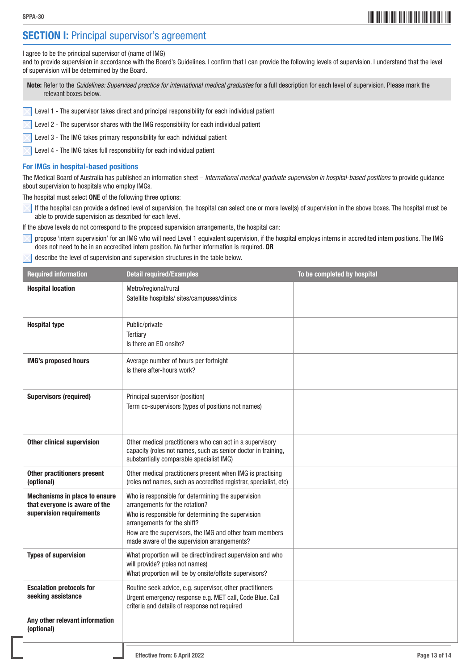## **SECTION I:** Principal supervisor's agreement

I agree to be the principal supervisor of (name of IMG)

and to provide supervision in accordance with the Board's Guidelines. I confirm that I can provide the following levels of supervision. I understand that the level of supervision will be determined by the Board.

Note: Refer to the *Guidelines: Supervised practice for international medical graduates* for a full description for each level of supervision. Please mark the relevant boxes below.

Level 1 - The supervisor takes direct and principal responsibility for each individual patient

Level 2 - The supervisor shares with the IMG responsibility for each individual patient

Level 3 - The IMG takes primary responsibility for each individual patient

Level 4 - The IMG takes full responsibility for each individual patient

#### For IMGs in hospital-based positions

The Medical Board of Australia has published an information sheet – *International medical graduate supervision in hospital-based positions* to provide guidance about supervision to hospitals who employ IMGs.

The hospital must select ONE of the following three options:

If the hospital can provide a defined level of supervision, the hospital can select one or more level(s) of supervision in the above boxes. The hospital must be able to provide supervision as described for each level.

If the above levels do not correspond to the proposed supervision arrangements, the hospital can:

- propose 'intern supervision' for an IMG who will need Level 1 equivalent supervision, if the hospital employs interns in accredited intern positions. The IMG does not need to be in an accredited intern position. No further information is required. OR
- describe the level of supervision and supervision structures in the table below.

| <b>Required information</b>                                                                | <b>Detail required/Examples</b>                                                                                                                                                                                                                                                     | To be completed by hospital |
|--------------------------------------------------------------------------------------------|-------------------------------------------------------------------------------------------------------------------------------------------------------------------------------------------------------------------------------------------------------------------------------------|-----------------------------|
| <b>Hospital location</b>                                                                   | Metro/regional/rural<br>Satellite hospitals/sites/campuses/clinics                                                                                                                                                                                                                  |                             |
| <b>Hospital type</b>                                                                       | Public/private<br>Tertiary<br>Is there an ED onsite?                                                                                                                                                                                                                                |                             |
| <b>IMG's proposed hours</b>                                                                | Average number of hours per fortnight<br>Is there after-hours work?                                                                                                                                                                                                                 |                             |
| <b>Supervisors (required)</b>                                                              | Principal supervisor (position)<br>Term co-supervisors (types of positions not names)                                                                                                                                                                                               |                             |
| <b>Other clinical supervision</b>                                                          | Other medical practitioners who can act in a supervisory<br>capacity (roles not names, such as senior doctor in training,<br>substantially comparable specialist IMG)                                                                                                               |                             |
| <b>Other practitioners present</b><br>(optional)                                           | Other medical practitioners present when IMG is practising<br>(roles not names, such as accredited registrar, specialist, etc)                                                                                                                                                      |                             |
| Mechanisms in place to ensure<br>that everyone is aware of the<br>supervision requirements | Who is responsible for determining the supervision<br>arrangements for the rotation?<br>Who is responsible for determining the supervision<br>arrangements for the shift?<br>How are the supervisors, the IMG and other team members<br>made aware of the supervision arrangements? |                             |
| <b>Types of supervision</b>                                                                | What proportion will be direct/indirect supervision and who<br>will provide? (roles not names)<br>What proportion will be by onsite/offsite supervisors?                                                                                                                            |                             |
| <b>Escalation protocols for</b><br>seeking assistance                                      | Routine seek advice, e.g. supervisor, other practitioners<br>Urgent emergency response e.g. MET call, Code Blue. Call<br>criteria and details of response not required                                                                                                              |                             |
| Any other relevant information<br>(optional)                                               |                                                                                                                                                                                                                                                                                     |                             |